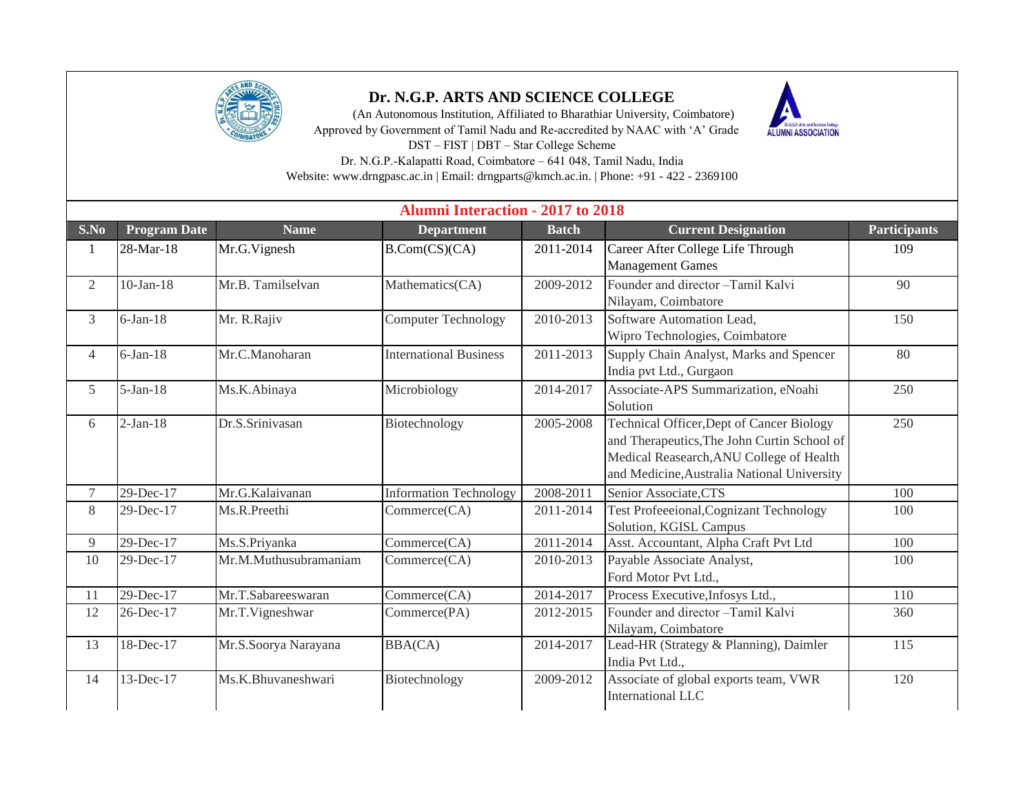

## **Dr. N.G.P. ARTS AND SCIENCE COLLEGE**

 (An Autonomous Institution, Affiliated to Bharathiar University, Coimbatore) Approved by Government of Tamil Nadu and Re-accredited by NAAC with 'A' Grade DST – FIST | DBT – Star College Scheme



Dr. N.G.P.-Kalapatti Road, Coimbatore – 641 048, Tamil Nadu, India Website: www.drngpasc.ac.in | Email: drngparts@kmch.ac.in. | Phone: +91 - 422 - 2369100

| <b>Alumni Interaction - 2017 to 2018</b> |                     |                       |                               |              |                                                                                                                                                                                     |                     |  |  |  |  |
|------------------------------------------|---------------------|-----------------------|-------------------------------|--------------|-------------------------------------------------------------------------------------------------------------------------------------------------------------------------------------|---------------------|--|--|--|--|
| S.No                                     | <b>Program Date</b> | <b>Name</b>           | <b>Department</b>             | <b>Batch</b> | <b>Current Designation</b>                                                                                                                                                          | <b>Participants</b> |  |  |  |  |
| 1                                        | 28-Mar-18           | Mr.G.Vignesh          | B.Com(CS)(CA)                 | 2011-2014    | Career After College Life Through<br><b>Management Games</b>                                                                                                                        | 109                 |  |  |  |  |
| $\overline{2}$                           | $10-Jan-18$         | Mr.B. Tamilselvan     | Mathematics(CA)               | 2009-2012    | Founder and director -Tamil Kalvi<br>Nilayam, Coimbatore                                                                                                                            | 90                  |  |  |  |  |
| 3                                        | $6$ -Jan-18         | Mr. R.Rajiv           | <b>Computer Technology</b>    | 2010-2013    | Software Automation Lead,<br>Wipro Technologies, Coimbatore                                                                                                                         | 150                 |  |  |  |  |
| $\overline{4}$                           | $6$ -Jan-18         | Mr.C.Manoharan        | <b>International Business</b> | 2011-2013    | Supply Chain Analyst, Marks and Spencer<br>India pvt Ltd., Gurgaon                                                                                                                  | 80                  |  |  |  |  |
| 5                                        | $5-Jan-18$          | Ms.K.Abinaya          | Microbiology                  | 2014-2017    | Associate-APS Summarization, eNoahi<br>Solution                                                                                                                                     | 250                 |  |  |  |  |
| 6                                        | $2-Jan-18$          | Dr.S.Srinivasan       | Biotechnology                 | 2005-2008    | Technical Officer, Dept of Cancer Biology<br>and Therapeutics, The John Curtin School of<br>Medical Reasearch, ANU College of Health<br>and Medicine, Australia National University | 250                 |  |  |  |  |
| $\overline{7}$                           | 29-Dec-17           | Mr.G.Kalaivanan       | <b>Information Technology</b> | 2008-2011    | Senior Associate, CTS                                                                                                                                                               | 100                 |  |  |  |  |
| 8                                        | 29-Dec-17           | Ms.R.Preethi          | Commerce(CA)                  | 2011-2014    | <b>Test Profeeeional, Cognizant Technology</b><br>Solution, KGISL Campus                                                                                                            | 100                 |  |  |  |  |
| 9                                        | 29-Dec-17           | Ms.S.Priyanka         | Commerce(CA)                  | 2011-2014    | Asst. Accountant, Alpha Craft Pvt Ltd                                                                                                                                               | 100                 |  |  |  |  |
| 10                                       | 29-Dec-17           | Mr.M.Muthusubramaniam | Commerce(CA)                  | 2010-2013    | Payable Associate Analyst,<br>Ford Motor Pvt Ltd.,                                                                                                                                  | 100                 |  |  |  |  |
| 11                                       | 29-Dec-17           | Mr.T.Sabareeswaran    | Commerce(CA)                  | 2014-2017    | Process Executive, Infosys Ltd.,                                                                                                                                                    | 110                 |  |  |  |  |
| 12                                       | 26-Dec-17           | Mr.T.Vigneshwar       | Commerce(PA)                  | 2012-2015    | Founder and director -Tamil Kalvi<br>Nilayam, Coimbatore                                                                                                                            | 360                 |  |  |  |  |
| 13                                       | 18-Dec-17           | Mr.S.Soorya Narayana  | <b>BBA(CA)</b>                | 2014-2017    | Lead-HR (Strategy & Planning), Daimler<br>India Pvt Ltd.,                                                                                                                           | 115                 |  |  |  |  |
| 14                                       | 13-Dec-17           | Ms.K.Bhuvaneshwari    | Biotechnology                 | 2009-2012    | Associate of global exports team, VWR<br><b>International LLC</b>                                                                                                                   | 120                 |  |  |  |  |